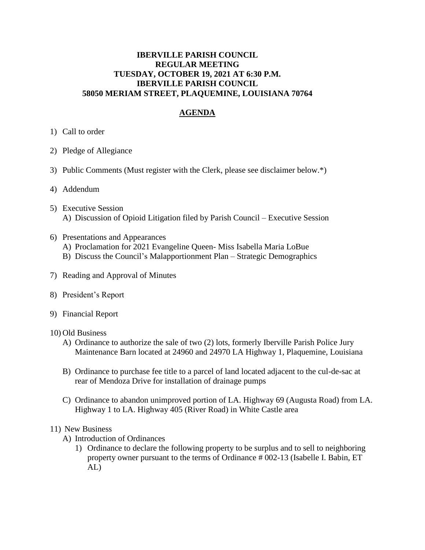## **IBERVILLE PARISH COUNCIL REGULAR MEETING TUESDAY, OCTOBER 19, 2021 AT 6:30 P.M. IBERVILLE PARISH COUNCIL 58050 MERIAM STREET, PLAQUEMINE, LOUISIANA 70764**

## **AGENDA**

- 1) Call to order
- 2) Pledge of Allegiance
- 3) Public Comments (Must register with the Clerk, please see disclaimer below.\*)
- 4) Addendum
- 5) Executive Session A) Discussion of Opioid Litigation filed by Parish Council – Executive Session
- 6) Presentations and Appearances
	- A) Proclamation for 2021 Evangeline Queen- Miss Isabella Maria LoBue
	- B) Discuss the Council's Malapportionment Plan Strategic Demographics
- 7) Reading and Approval of Minutes
- 8) President's Report
- 9) Financial Report
- 10) Old Business
	- A) Ordinance to authorize the sale of two (2) lots, formerly Iberville Parish Police Jury Maintenance Barn located at 24960 and 24970 LA Highway 1, Plaquemine, Louisiana
	- B) Ordinance to purchase fee title to a parcel of land located adjacent to the cul-de-sac at rear of Mendoza Drive for installation of drainage pumps
	- C) Ordinance to abandon unimproved portion of LA. Highway 69 (Augusta Road) from LA. Highway 1 to LA. Highway 405 (River Road) in White Castle area

## 11) New Business

- A) Introduction of Ordinances
	- 1) Ordinance to declare the following property to be surplus and to sell to neighboring property owner pursuant to the terms of Ordinance # 002-13 (Isabelle I. Babin, ET AL)